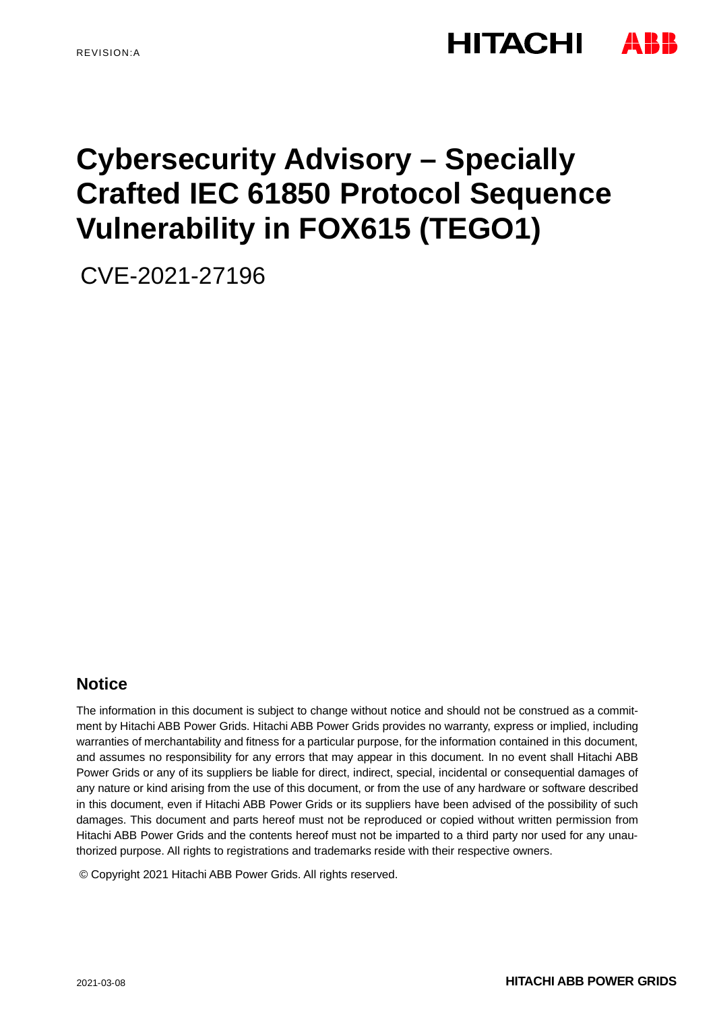# **HITACHI**

# **Cybersecurity Advisory – Specially Crafted IEC 61850 Protocol Sequence Vulnerability in FOX615 (TEGO1)**

CVE-2021-27196

## **Notice**

The information in this document is subject to change without notice and should not be construed as a commitment by Hitachi ABB Power Grids. Hitachi ABB Power Grids provides no warranty, express or implied, including warranties of merchantability and fitness for a particular purpose, for the information contained in this document, and assumes no responsibility for any errors that may appear in this document. In no event shall Hitachi ABB Power Grids or any of its suppliers be liable for direct, indirect, special, incidental or consequential damages of any nature or kind arising from the use of this document, or from the use of any hardware or software described in this document, even if Hitachi ABB Power Grids or its suppliers have been advised of the possibility of such damages. This document and parts hereof must not be reproduced or copied without written permission from Hitachi ABB Power Grids and the contents hereof must not be imparted to a third party nor used for any unauthorized purpose. All rights to registrations and trademarks reside with their respective owners.

© Copyright 2021 Hitachi ABB Power Grids. All rights reserved.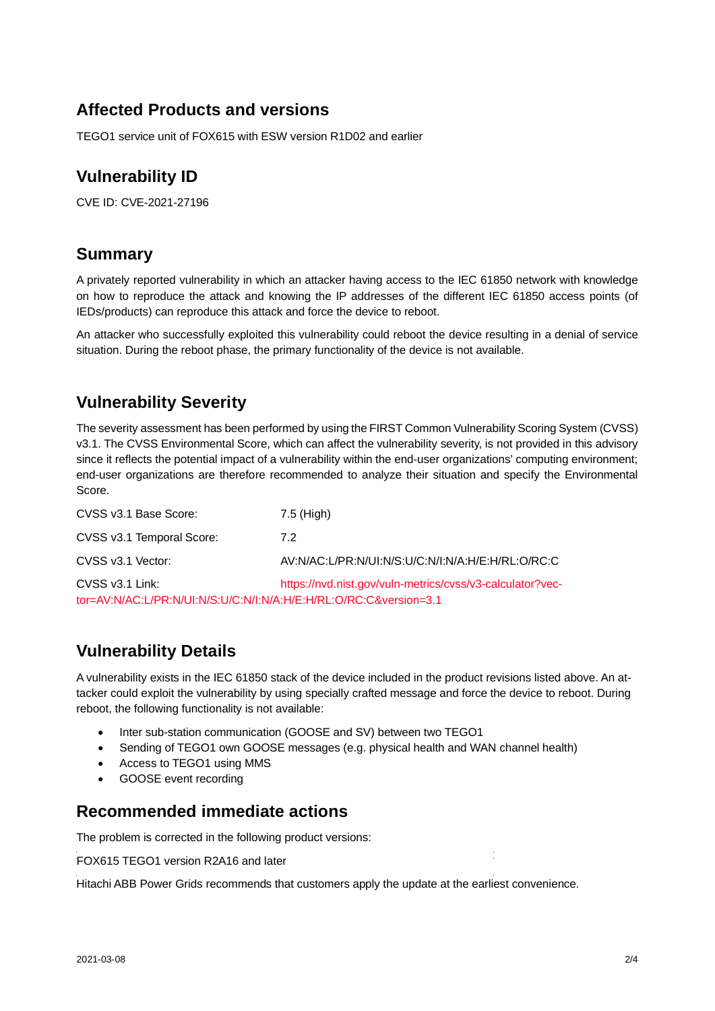## **Affected Products and versions**

TEGO1 service unit of FOX615 with ESW version R1D02 and earlier

# **Vulnerability ID**

CVE ID: CVE-2021-27196

## **Summary**

A privately reported vulnerability in which an attacker having access to the IEC 61850 network with knowledge on how to reproduce the attack and knowing the IP addresses of the different IEC 61850 access points (of IEDs/products) can reproduce this attack and force the device to reboot.

An attacker who successfully exploited this vulnerability could reboot the device resulting in a denial of service situation. During the reboot phase, the primary functionality of the device is not available.

## **Vulnerability Severity**

The severity assessment has been performed by using the FIRST Common Vulnerability Scoring System (CVSS) v3.1. The CVSS Environmental Score, which can affect the vulnerability severity, is not provided in this advisory since it reflects the potential impact of a vulnerability within the end-user organizations' computing environment; end-user organizations are therefore recommended to analyze their situation and specify the Environmental Score.

| CVSS v3.1 Base Score:                                                                | 7.5 (High)                                                |
|--------------------------------------------------------------------------------------|-----------------------------------------------------------|
| CVSS v3.1 Temporal Score:                                                            | 7.2                                                       |
| CVSS v3.1 Vector:                                                                    | AV:N/AC:L/PR:N/UI:N/S:U/C:N/I:N/A:H/E:H/RL:O/RC:C         |
| CVSS v3.1 Link:<br>tor=AV:N/AC:L/PR:N/UI:N/S:U/C:N/I:N/A:H/E:H/RL:O/RC:C&version=3.1 | https://nvd.nist.gov/vuln-metrics/cvss/v3-calculator?vec- |

## **Vulnerability Details**

A vulnerability exists in the IEC 61850 stack of the device included in the product revisions listed above. An attacker could exploit the vulnerability by using specially crafted message and force the device to reboot. During reboot, the following functionality is not available:

- Inter sub-station communication (GOOSE and SV) between two TEGO1
- Sending of TEGO1 own GOOSE messages (e.g. physical health and WAN channel health)
- Access to TEGO1 using MMS
- GOOSE event recording

## **Recommended immediate actions**

The problem is corrected in the following product versions:

FOX615 TEGO1 version R2A16 and later

Hitachi ABB Power Grids recommends that customers apply the update at the earliest convenience.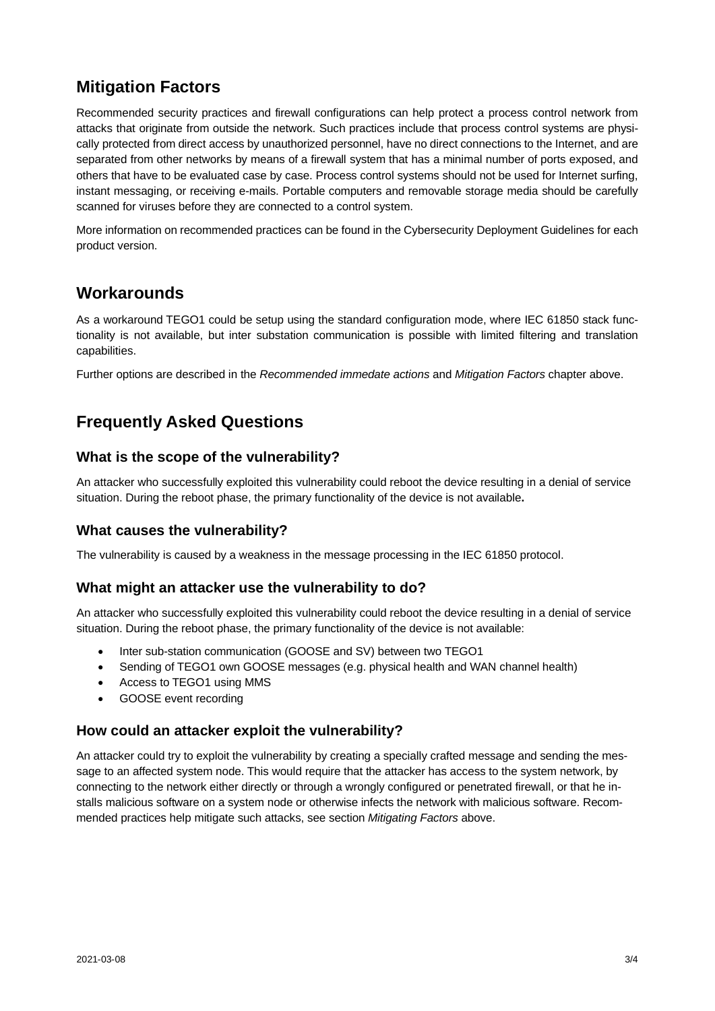## **Mitigation Factors**

Recommended security practices and firewall configurations can help protect a process control network from attacks that originate from outside the network. Such practices include that process control systems are physically protected from direct access by unauthorized personnel, have no direct connections to the Internet, and are separated from other networks by means of a firewall system that has a minimal number of ports exposed, and others that have to be evaluated case by case. Process control systems should not be used for Internet surfing, instant messaging, or receiving e-mails. Portable computers and removable storage media should be carefully scanned for viruses before they are connected to a control system.

More information on recommended practices can be found in the Cybersecurity Deployment Guidelines for each product version.

## **Workarounds**

As a workaround TEGO1 could be setup using the standard configuration mode, where IEC 61850 stack functionality is not available, but inter substation communication is possible with limited filtering and translation capabilities.

Further options are described in the *Recommended immedate actions* and *Mitigation Factors* chapter above.

## **Frequently Asked Questions**

#### **What is the scope of the vulnerability?**

An attacker who successfully exploited this vulnerability could reboot the device resulting in a denial of service situation. During the reboot phase, the primary functionality of the device is not available**.**

#### **What causes the vulnerability?**

The vulnerability is caused by a weakness in the message processing in the IEC 61850 protocol.

#### **What might an attacker use the vulnerability to do?**

An attacker who successfully exploited this vulnerability could reboot the device resulting in a denial of service situation. During the reboot phase, the primary functionality of the device is not available:

- Inter sub-station communication (GOOSE and SV) between two TEGO1
- Sending of TEGO1 own GOOSE messages (e.g. physical health and WAN channel health)
- Access to TEGO1 using MMS
- GOOSE event recording

#### **How could an attacker exploit the vulnerability?**

An attacker could try to exploit the vulnerability by creating a specially crafted message and sending the message to an affected system node. This would require that the attacker has access to the system network, by connecting to the network either directly or through a wrongly configured or penetrated firewall, or that he installs malicious software on a system node or otherwise infects the network with malicious software. Recommended practices help mitigate such attacks, see section *Mitigating Factors* above.